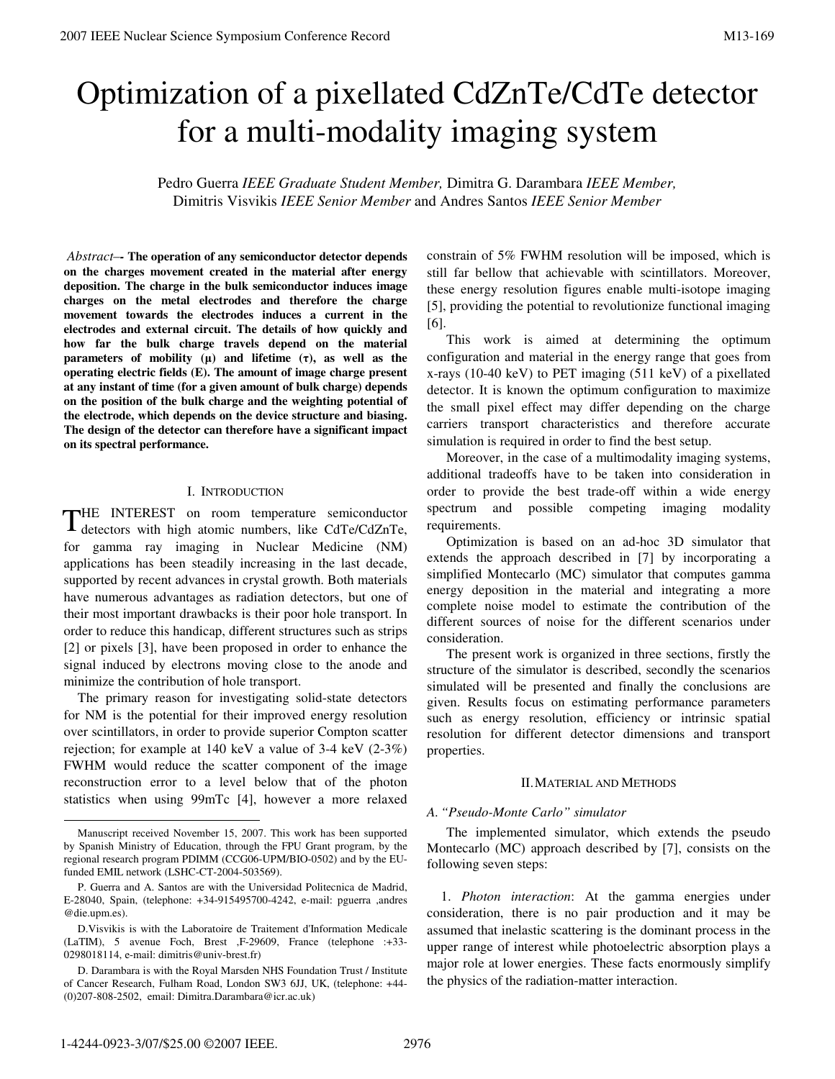# Optimization of a pixellated CdZnTe/CdTe detector for a multi-modality imaging system

Pedro Guerra *IEEE Graduate Student Member,* Dimitra G. Darambara *IEEE Member,*  Dimitris Visvikis *IEEE Senior Member* and Andres Santos *IEEE Senior Member* 

*Abstract–-* **The operation of any semiconductor detector depends on the charges movement created in the material after energy deposition. The charge in the bulk semiconductor induces image charges on the metal electrodes and therefore the charge movement towards the electrodes induces a current in the electrodes and external circuit. The details of how quickly and how far the bulk charge travels depend on the material parameters of mobility (**μ**) and lifetime (**τ**), as well as the operating electric fields (E). The amount of image charge present at any instant of time (for a given amount of bulk charge) depends on the position of the bulk charge and the weighting potential of the electrode, which depends on the device structure and biasing. The design of the detector can therefore have a significant impact on its spectral performance.** 

### I. INTRODUCTION

HE INTEREST on room temperature semiconductor THE INTEREST on room temperature semiconductor detectors with high atomic numbers, like CdTe/CdZnTe, for gamma ray imaging in Nuclear Medicine (NM) applications has been steadily increasing in the last decade, supported by recent advances in crystal growth. Both materials have numerous advantages as radiation detectors, but one of their most important drawbacks is their poor hole transport. In order to reduce this handicap, different structures such as strips [2] or pixels [3], have been proposed in order to enhance the signal induced by electrons moving close to the anode and minimize the contribution of hole transport.

The primary reason for investigating solid-state detectors for NM is the potential for their improved energy resolution over scintillators, in order to provide superior Compton scatter rejection; for example at 140 keV a value of 3-4 keV (2-3%) FWHM would reduce the scatter component of the image reconstruction error to a level below that of the photon statistics when using 99mTc [4], however a more relaxed constrain of 5% FWHM resolution will be imposed, which is still far bellow that achievable with scintillators. Moreover, these energy resolution figures enable multi-isotope imaging [5], providing the potential to revolutionize functional imaging [6].

 This work is aimed at determining the optimum configuration and material in the energy range that goes from x-rays (10-40 keV) to PET imaging (511 keV) of a pixellated detector. It is known the optimum configuration to maximize the small pixel effect may differ depending on the charge carriers transport characteristics and therefore accurate simulation is required in order to find the best setup.

 Moreover, in the case of a multimodality imaging systems, additional tradeoffs have to be taken into consideration in order to provide the best trade-off within a wide energy spectrum and possible competing imaging modality requirements.

 Optimization is based on an ad-hoc 3D simulator that extends the approach described in [7] by incorporating a simplified Montecarlo (MC) simulator that computes gamma energy deposition in the material and integrating a more complete noise model to estimate the contribution of the different sources of noise for the different scenarios under consideration.

 The present work is organized in three sections, firstly the structure of the simulator is described, secondly the scenarios simulated will be presented and finally the conclusions are given. Results focus on estimating performance parameters such as energy resolution, efficiency or intrinsic spatial resolution for different detector dimensions and transport properties.

# II.MATERIAL AND METHODS

# *A. "Pseudo-Monte Carlo" simulator*

 The implemented simulator, which extends the pseudo Montecarlo (MC) approach described by [7], consists on the following seven steps:

1. *Photon interaction*: At the gamma energies under consideration, there is no pair production and it may be assumed that inelastic scattering is the dominant process in the upper range of interest while photoelectric absorption plays a major role at lower energies. These facts enormously simplify the physics of the radiation-matter interaction.

Manuscript received November 15, 2007. This work has been supported by Spanish Ministry of Education, through the FPU Grant program, by the regional research program PDIMM (CCG06-UPM/BIO-0502) and by the EUfunded EMIL network (LSHC-CT-2004-503569).

P. Guerra and A. Santos are with the Universidad Politecnica de Madrid, E-28040, Spain, (telephone: +34-915495700-4242, e-mail: pguerra ,andres @die.upm.es).

D.Visvikis is with the Laboratoire de Traitement d'Information Medicale (LaTIM), 5 avenue Foch, Brest ,F-29609, France (telephone :+33- 0298018114, e-mail: dimitris@univ-brest.fr)

D. Darambara is with the Royal Marsden NHS Foundation Trust / Institute of Cancer Research, Fulham Road, London SW3 6JJ, UK, (telephone: +44- (0)207-808-2502, email: Dimitra.Darambara@icr.ac.uk)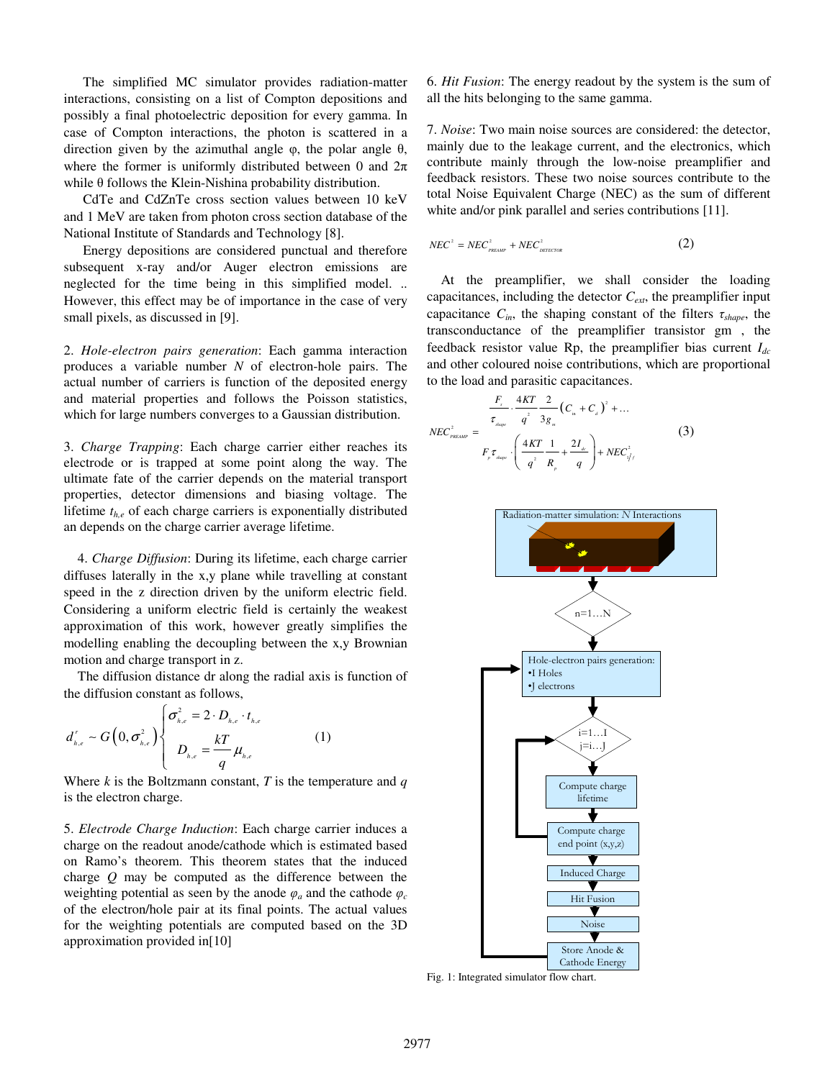The simplified MC simulator provides radiation-matter interactions, consisting on a list of Compton depositions and possibly a final photoelectric deposition for every gamma. In case of Compton interactions, the photon is scattered in a direction given by the azimuthal angle  $φ$ , the polar angle  $θ$ , where the former is uniformly distributed between 0 and  $2\pi$ while θ follows the Klein-Nishina probability distribution.

 CdTe and CdZnTe cross section values between 10 keV and 1 MeV are taken from photon cross section database of the National Institute of Standards and Technology [8].

 Energy depositions are considered punctual and therefore subsequent x-ray and/or Auger electron emissions are neglected for the time being in this simplified model. .. However, this effect may be of importance in the case of very small pixels, as discussed in [9].

2. *Hole-electron pairs generation*: Each gamma interaction produces a variable number *N* of electron-hole pairs. The actual number of carriers is function of the deposited energy and material properties and follows the Poisson statistics, which for large numbers converges to a Gaussian distribution.

3. *Charge Trapping*: Each charge carrier either reaches its electrode or is trapped at some point along the way. The ultimate fate of the carrier depends on the material transport properties, detector dimensions and biasing voltage. The lifetime *th,e* of each charge carriers is exponentially distributed an depends on the charge carrier average lifetime.

4. *Charge Diffusion*: During its lifetime, each charge carrier diffuses laterally in the x,y plane while travelling at constant speed in the z direction driven by the uniform electric field. Considering a uniform electric field is certainly the weakest approximation of this work, however greatly simplifies the modelling enabling the decoupling between the x,y Brownian motion and charge transport in z.

The diffusion distance dr along the radial axis is function of the diffusion constant as follows,

$$
d_{_{h,e}}^r \sim G\Big(0, \sigma_{_{h,e}}^2\Big)\begin{cases} \sigma_{_{h,e}}^2 = 2 \cdot D_{_{h,e}} \cdot t_{_{h,e}} \\ D_{_{h,e}} = \frac{kT}{q} \mu_{_{h,e}} \end{cases} \tag{1}
$$

Where  $k$  is the Boltzmann constant,  $T$  is the temperature and  $q$ is the electron charge.

5. *Electrode Charge Induction*: Each charge carrier induces a charge on the readout anode/cathode which is estimated based on Ramo's theorem. This theorem states that the induced charge *Q* may be computed as the difference between the weighting potential as seen by the anode  $\varphi_a$  and the cathode  $\varphi_c$ of the electron/hole pair at its final points. The actual values for the weighting potentials are computed based on the 3D approximation provided in[10]

6. *Hit Fusion*: The energy readout by the system is the sum of all the hits belonging to the same gamma.

7. *Noise*: Two main noise sources are considered: the detector, mainly due to the leakage current, and the electronics, which contribute mainly through the low-noise preamplifier and feedback resistors. These two noise sources contribute to the total Noise Equivalent Charge (NEC) as the sum of different white and/or pink parallel and series contributions [11].

$$
NEC^2 = NEC_{_{PREAMP}}^2 + NEC_{_{DETECIOR}}^2 \tag{2}
$$

At the preamplifier, we shall consider the loading capacitances, including the detector  $C_{ext}$ , the preamplifier input capacitance  $C_{in}$ , the shaping constant of the filters  $\tau_{shape}$ , the transconductance of the preamplifier transistor gm , the feedback resistor value Rp, the preamplifier bias current  $I_{dc}$ and other coloured noise contributions, which are proportional to the load and parasitic capacitances.

$$
NEC_{\text{PREAMP}}^2 = \frac{\frac{F_s}{\tau_{\text{slap}}}}{\frac{F_s}{\tau_{\text{slap}}}} \cdot \left(\frac{4KT}{q^2} \frac{2}{3g_m} \left(C_{\text{in}} + C_d\right)^2 + \dots \right)
$$
\n
$$
F_r \tau_{\text{slap}} \cdot \left(\frac{4KT}{q^2} \frac{1}{R_p} + \frac{2I_d}{q}\right) + NEC_{\text{rf}}^2 \tag{3}
$$



Fig. 1: Integrated simulator flow chart.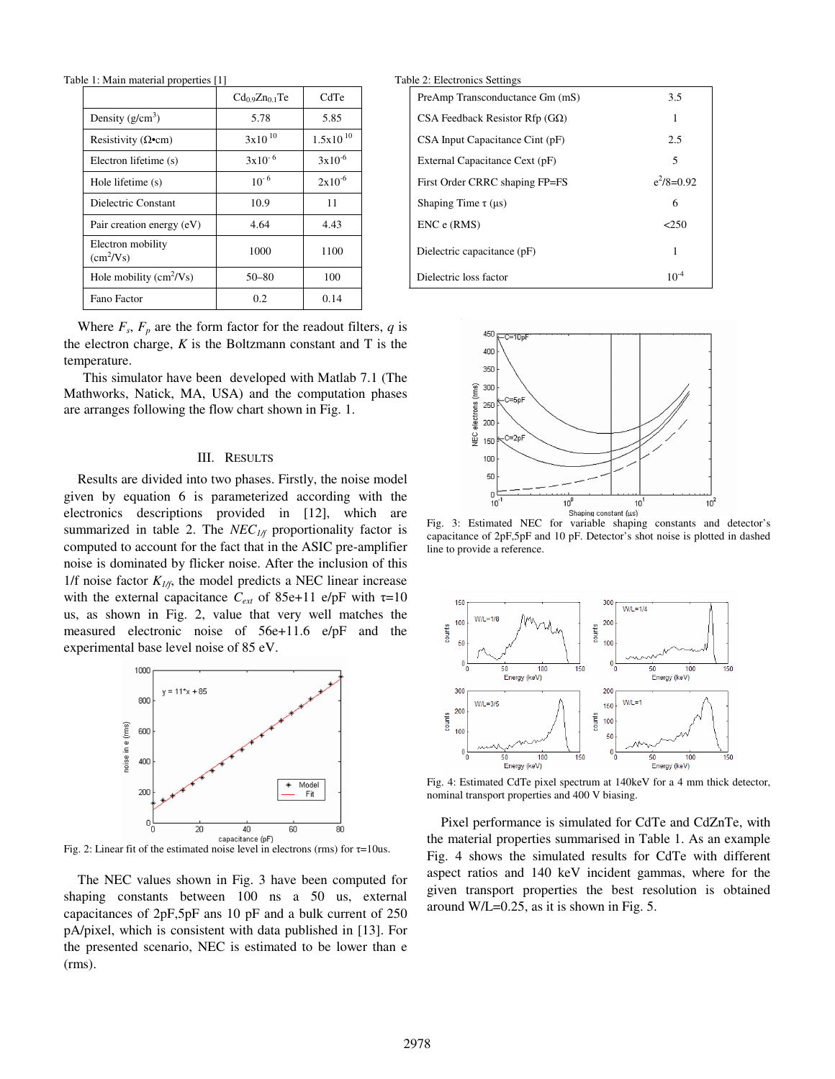Table 1: Main material properties [1] Table 2: Main material properties Settings

|                                         | $Cd_{0.9}Zn_{0.1}Te$ | CdTe          | PreAmp Transconductance Gm (mS)       |           |
|-----------------------------------------|----------------------|---------------|---------------------------------------|-----------|
| Density $(g/cm^3)$                      | 5.78                 | 5.85          | CSA Feedback Resistor Rfp $(G\Omega)$ |           |
| Resistivity ( $\Omega$ •cm)             | $3x10^{10}$          | $1.5x10^{10}$ | CSA Input Capacitance Cint (pF)       |           |
| Electron lifetime (s)                   | $3x10^{-6}$          | $3x10^{-6}$   | External Capacitance Cext (pF)        |           |
| Hole lifetime (s)                       | $10^{-6}$            | $2x10^{-6}$   | First Order CRRC shaping FP=FS        | $e^2/8=0$ |
| Dielectric Constant                     | 10.9                 | 11            | Shaping Time $\tau$ ( $\mu$ s)        |           |
| Pair creation energy (eV)               | 4.64                 | 4.43          | $ENC$ e $(RMS)$                       |           |
| Electron mobility<br>$(cm^2/Vs)$        | 1000                 | 1100          | Dielectric capacitance (pF)           |           |
| Hole mobility $\text{cm}^2/\text{Vs}$ ) | $50 - 80$            | 100           | Dielectric loss factor                |           |
| Fano Factor                             | 0.2                  | 0.14          |                                       |           |

Where  $F_s$ ,  $F_p$  are the form factor for the readout filters,  $q$  is the electron charge,  $K$  is the Boltzmann constant and  $T$  is the temperature.

 This simulator have been developed with Matlab 7.1 (The Mathworks, Natick, MA, USA) and the computation phases are arranges following the flow chart shown in Fig. 1.

## III. RESULTS

Results are divided into two phases. Firstly, the noise model given by equation 6 is parameterized according with the electronics descriptions provided in [12], which are summarized in table 2. The *NEC<sub>1/f*</sub> proportionality factor is computed to account for the fact that in the ASIC pre-amplifier noise is dominated by flicker noise. After the inclusion of this 1/f noise factor  $K_{1/f}$ , the model predicts a NEC linear increase with the external capacitance  $C_{ext}$  of 85e+11 e/pF with  $\tau=10$ us, as shown in Fig. 2, value that very well matches the measured electronic noise of 56e+11.6 e/pF and the experimental base level noise of 85 eV.



The NEC values shown in Fig. 3 have been computed for shaping constants between 100 ns a 50 us, external capacitances of 2pF,5pF ans 10 pF and a bulk current of 250 pA/pixel, which is consistent with data published in [13]. For the presented scenario, NEC is estimated to be lower than e (rms).

| 1: Main material properties [1]                |                      |               | Table 2: Electronics Settings |                                       |              |  |
|------------------------------------------------|----------------------|---------------|-------------------------------|---------------------------------------|--------------|--|
|                                                | $Cd_{0.9}Zn_{0.1}Te$ | CdTe          |                               | PreAmp Transconductance Gm (mS)       | 3.5          |  |
| Density $(g/cm^3)$                             | 5.78                 | 5.85          |                               | CSA Feedback Resistor Rfp $(G\Omega)$ |              |  |
| Resistivity ( $\Omega$ •cm)                    | $3x10^{10}$          | $1.5x10^{10}$ |                               | CSA Input Capacitance Cint (pF)       | 2.5          |  |
| Electron lifetime (s)                          | $3x10^{-6}$          | $3x10^{-6}$   |                               | External Capacitance Cext (pF)        |              |  |
| Hole lifetime (s)                              | $10^{-6}$            | $2x10^{-6}$   |                               | First Order CRRC shaping FP=FS        | $e^2/8=0.92$ |  |
| Dielectric Constant                            | 10.9                 | 11            |                               | Shaping Time $\tau$ ( $\mu$ s)        | 6            |  |
| Pair creation energy (eV)                      | 4.64                 | 4.43          |                               | $ENC$ e $(RMS)$                       | < 250        |  |
| Electron mobility<br>$\text{(cm}^2/\text{Vs)}$ | 1000                 | 1100          |                               | Dielectric capacitance (pF)           |              |  |
| Hole mobility $\text{cm}^2/\text{Vs}$ )        | $50 - 80$            | 100           |                               | Dielectric loss factor                | $10^{-4}$    |  |



Fig. 3: Estimated NEC for variable shaping constants and detector's capacitance of 2pF,5pF and 10 pF. Detector's shot noise is plotted in dashed line to provide a reference.



Fig. 4: Estimated CdTe pixel spectrum at 140keV for a 4 mm thick detector, nominal transport properties and 400 V biasing.

Pixel performance is simulated for CdTe and CdZnTe, with the material properties summarised in Table 1. As an example Fig. 4 shows the simulated results for CdTe with different aspect ratios and 140 keV incident gammas, where for the given transport properties the best resolution is obtained around W/L=0.25, as it is shown in Fig. 5.